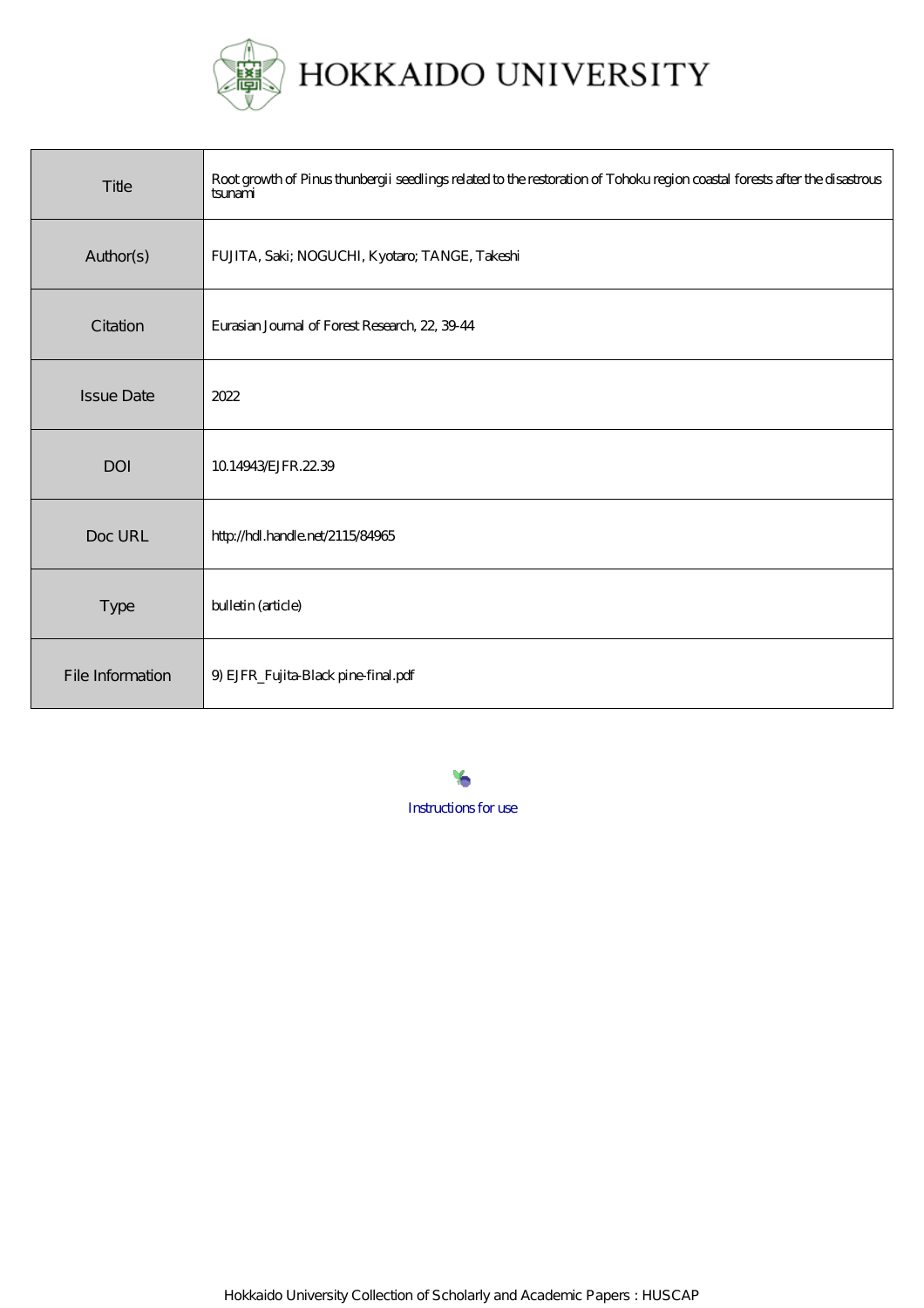

| Title             | Root growth of Pinus thunbergii seedlings related to the restoration of Tohoku region coastal forests after the disastrous<br>tsunami |
|-------------------|---------------------------------------------------------------------------------------------------------------------------------------|
| Author(s)         | FUJITA, Saki; NOGUCHI, Kyotaro; TANGE, Takeshi                                                                                        |
| Citation          | Eurasian Journal of Forest Research, 22, 3944                                                                                         |
| <b>Issue Date</b> | 2022                                                                                                                                  |
| <b>DOI</b>        | 10.14943/EJFR.22.39                                                                                                                   |
| Doc URL           | http://hdl.handle.net/2115/84965                                                                                                      |
| Type              | bulletin (article)                                                                                                                    |
| File Information  | 9) EJFR_Fujita-Black pine-final.pdf                                                                                                   |

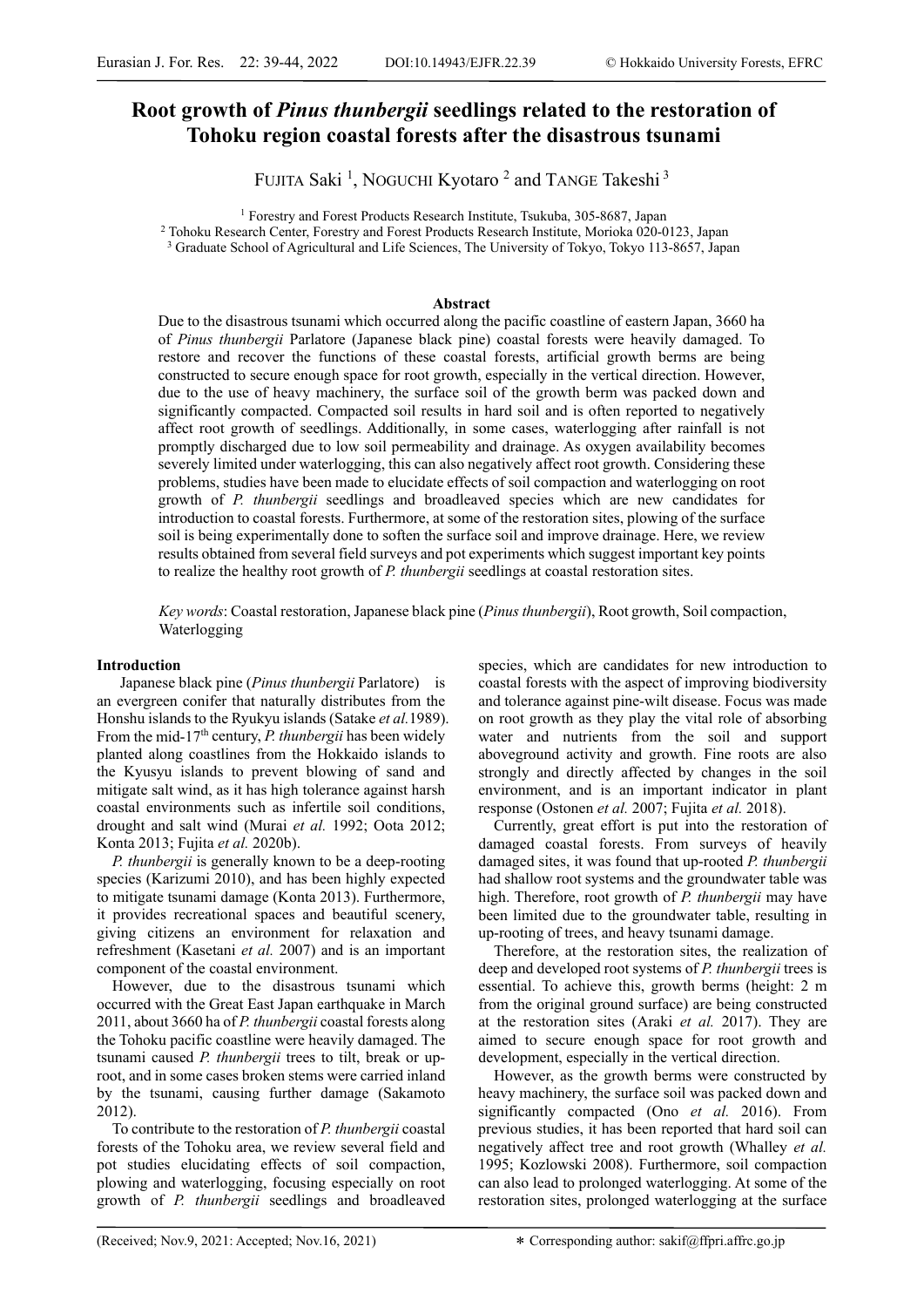# **Root growth of** *Pinus thunbergii* **seedlings related to the restoration of Tohoku region coastal forests after the disastrous tsunami**

FUJITA Saki<sup>1</sup>, NOGUCHI Kyotaro<sup>2</sup> and TANGE Takeshi<sup>3</sup>

<sup>1</sup> Forestry and Forest Products Research Institute, Tsukuba, 305-8687, Japan <sup>2</sup> Tohoku Research Center, Forestry and Forest Products Research Institute, Morioka 020-0123, Japan

<sup>3</sup> Graduate School of Agricultural and Life Sciences, The University of Tokyo, Tokyo 113-8657, Japan

## **Abstract**

Due to the disastrous tsunami which occurred along the pacific coastline of eastern Japan, 3660 ha of *Pinus thunbergii* Parlatore (Japanese black pine) coastal forests were heavily damaged. To restore and recover the functions of these coastal forests, artificial growth berms are being constructed to secure enough space for root growth, especially in the vertical direction. However, due to the use of heavy machinery, the surface soil of the growth berm was packed down and significantly compacted. Compacted soil results in hard soil and is often reported to negatively affect root growth of seedlings. Additionally, in some cases, waterlogging after rainfall is not promptly discharged due to low soil permeability and drainage. As oxygen availability becomes severely limited under waterlogging, this can also negatively affect root growth. Considering these problems, studies have been made to elucidate effects of soil compaction and waterlogging on root growth of *P. thunbergii* seedlings and broadleaved species which are new candidates for introduction to coastal forests. Furthermore, at some of the restoration sites, plowing of the surface soil is being experimentally done to soften the surface soil and improve drainage. Here, we review results obtained from several field surveys and pot experiments which suggest important key points to realize the healthy root growth of *P. thunbergii* seedlings at coastal restoration sites.

*Key words*: Coastal restoration, Japanese black pine (*Pinus thunbergii*), Root growth, Soil compaction, Waterlogging

## **Introduction**

Japanese black pine (*Pinus thunbergii* Parlatore) is an evergreen conifer that naturally distributes from the Honshu islands to the Ryukyu islands (Satake *et al.* 1989). From the mid-17th century, *P. thunbergii* has been widely planted along coastlines from the Hokkaido islands to the Kyusyu islands to prevent blowing of sand and mitigate salt wind, as it has high tolerance against harsh coastal environments such as infertile soil conditions, drought and salt wind (Murai *et al.* 1992; Oota 2012; Konta 2013; Fujita *et al.* 2020b).

*P. thunbergii* is generally known to be a deep-rooting species (Karizumi 2010), and has been highly expected to mitigate tsunami damage (Konta 2013). Furthermore, it provides recreational spaces and beautiful scenery, giving citizens an environment for relaxation and refreshment (Kasetani *et al.* 2007) and is an important component of the coastal environment.

However, due to the disastrous tsunami which occurred with the Great East Japan earthquake in March 2011, about 3660 ha of *P. thunbergii* coastal forests along the Tohoku pacific coastline were heavily damaged. The tsunami caused *P. thunbergii* trees to tilt, break or uproot, and in some cases broken stems were carried inland by the tsunami, causing further damage (Sakamoto 2012).

To contribute to the restoration of *P. thunbergii* coastal forests of the Tohoku area, we review several field and pot studies elucidating effects of soil compaction, plowing and waterlogging, focusing especially on root growth of *P. thunbergii* seedlings and broadleaved species, which are candidates for new introduction to coastal forests with the aspect of improving biodiversity and tolerance against pine-wilt disease. Focus was made on root growth as they play the vital role of absorbing water and nutrients from the soil and support aboveground activity and growth. Fine roots are also strongly and directly affected by changes in the soil environment, and is an important indicator in plant response (Ostonen *et al.* 2007; Fujita *et al.* 2018).

Currently, great effort is put into the restoration of damaged coastal forests. From surveys of heavily damaged sites, it was found that up-rooted *P. thunbergii*  had shallow root systems and the groundwater table was high. Therefore, root growth of *P. thunbergii* may have been limited due to the groundwater table, resulting in up-rooting of trees, and heavy tsunami damage.

Therefore, at the restoration sites, the realization of deep and developed root systems of *P. thunbergii* trees is essential. To achieve this, growth berms (height: 2 m from the original ground surface) are being constructed at the restoration sites (Araki *et al.* 2017). They are aimed to secure enough space for root growth and development, especially in the vertical direction.

However, as the growth berms were constructed by heavy machinery, the surface soil was packed down and significantly compacted (Ono *et al.* 2016). From previous studies, it has been reported that hard soil can negatively affect tree and root growth (Whalley *et al.* 1995; Kozlowski 2008). Furthermore, soil compaction can also lead to prolonged waterlogging. At some of the restoration sites, prolonged waterlogging at the surface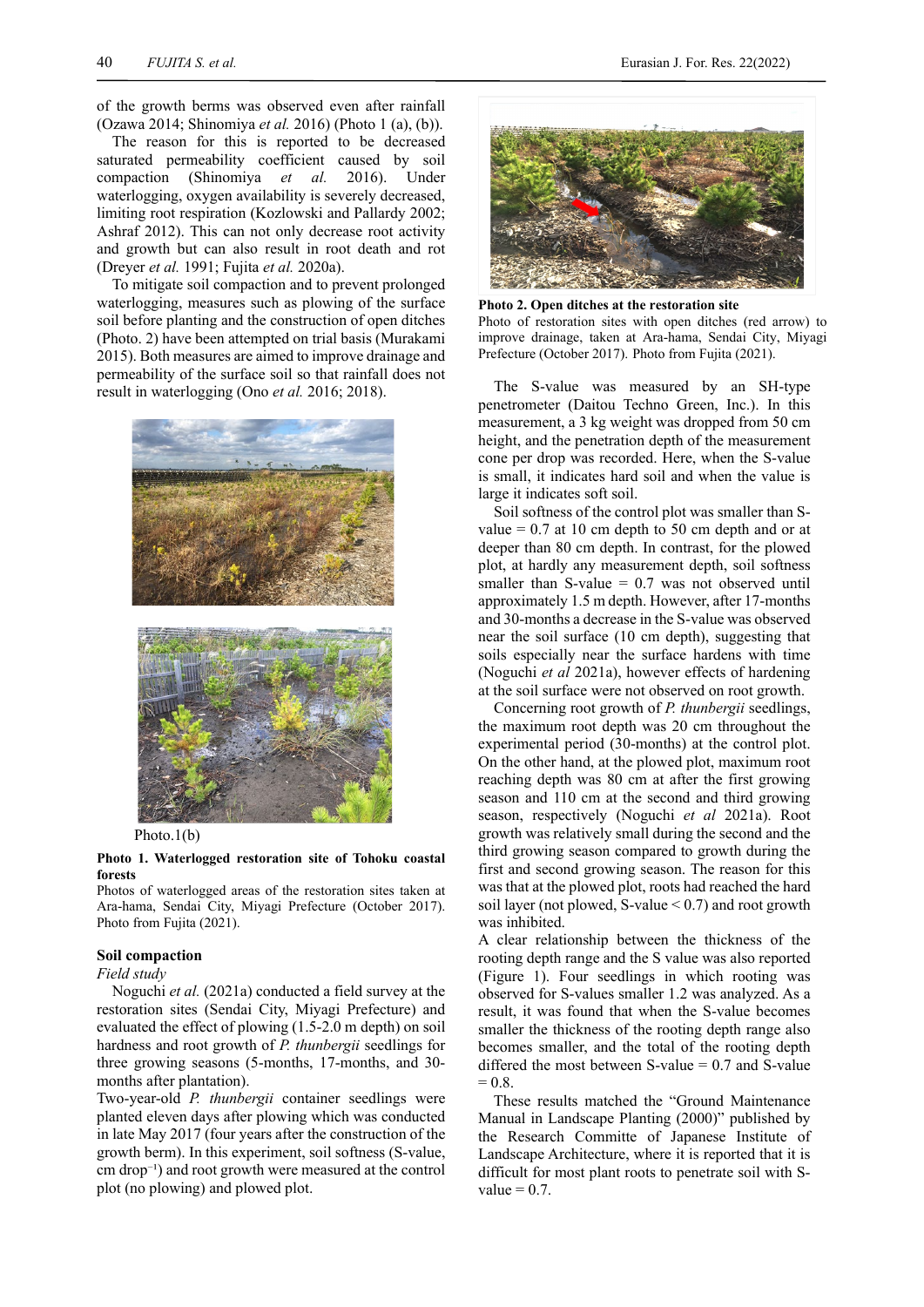of the growth berms was observed even after rainfall (Ozawa 2014; Shinomiya *et al.* 2016) (Photo 1 (a), (b)).

The reason for this is reported to be decreased saturated permeability coefficient caused by soil compaction (Shinomiya *et al.* 2016). Under waterlogging, oxygen availability is severely decreased, limiting root respiration (Kozlowski and Pallardy 2002; Ashraf 2012). This can not only decrease root activity and growth but can also result in root death and rot (Dreyer *et al.* 1991; Fujita *et al.* 2020a).

To mitigate soil compaction and to prevent prolonged waterlogging, measures such as plowing of the surface soil before planting and the construction of open ditches (Photo. 2) have been attempted on trial basis (Murakami 2015). Both measures are aimed to improve drainage and permeability of the surface soil so that rainfall does not result in waterlogging (Ono *et al.* 2016; 2018).



Photo.1(b)

# **Photo 1. Waterlogged restoration site of Tohoku coastal forests**

Photos of waterlogged areas of the restoration sites taken at Ara-hama, Sendai City, Miyagi Prefecture (October 2017). Photo from Fujita (2021).

#### **Soil compaction**

*Field study*

 Noguchi *et al.* (2021a) conducted a field survey at the restoration sites (Sendai City, Miyagi Prefecture) and evaluated the effect of plowing (1.5-2.0 m depth) on soil hardness and root growth of *P. thunbergii* seedlings for three growing seasons (5-months, 17-months, and 30 months after plantation).

Two-year-old *P. thunbergii* container seedlings were planted eleven days after plowing which was conducted in late May 2017 (four years after the construction of the growth berm). In this experiment, soil softness (S-value,  $cm drop^{-1}$ ) and root growth were measured at the control plot (no plowing) and plowed plot.



**Photo 2. Open ditches at the restoration site** Photo of restoration sites with open ditches (red arrow) to improve drainage, taken at Ara-hama, Sendai City, Miyagi Prefecture (October 2017). Photo from Fujita (2021).

The S-value was measured by an SH-type penetrometer (Daitou Techno Green, Inc.). In this measurement, a 3 kg weight was dropped from 50 cm height, and the penetration depth of the measurement cone per drop was recorded. Here, when the S-value is small, it indicates hard soil and when the value is large it indicates soft soil.

Soil softness of the control plot was smaller than Svalue  $= 0.7$  at 10 cm depth to 50 cm depth and or at deeper than 80 cm depth. In contrast, for the plowed plot, at hardly any measurement depth, soil softness smaller than S-value  $= 0.7$  was not observed until approximately 1.5 m depth. However, after 17-months and 30-months a decrease in the S-value was observed near the soil surface (10 cm depth), suggesting that soils especially near the surface hardens with time (Noguchi *et al* 2021a), however effects of hardening at the soil surface were not observed on root growth.

Concerning root growth of *P. thunbergii* seedlings, the maximum root depth was 20 cm throughout the experimental period (30-months) at the control plot. On the other hand, at the plowed plot, maximum root reaching depth was 80 cm at after the first growing season and 110 cm at the second and third growing season, respectively (Noguchi *et al* 2021a). Root growth was relatively small during the second and the third growing season compared to growth during the first and second growing season. The reason for this was that at the plowed plot, roots had reached the hard soil layer (not plowed, S-value  $< 0.7$ ) and root growth was inhibited.

A clear relationship between the thickness of the rooting depth range and the S value was also reported (Figure 1). Four seedlings in which rooting was observed for S-values smaller 1.2 was analyzed. As a result, it was found that when the S-value becomes smaller the thickness of the rooting depth range also becomes smaller, and the total of the rooting depth differed the most between  $S$ -value = 0.7 and  $S$ -value  $= 0.8.$ 

These results matched the "Ground Maintenance Manual in Landscape Planting (2000)" published by the Research Committe of Japanese Institute of Landscape Architecture, where it is reported that it is difficult for most plant roots to penetrate soil with Svalue  $= 0.7$ .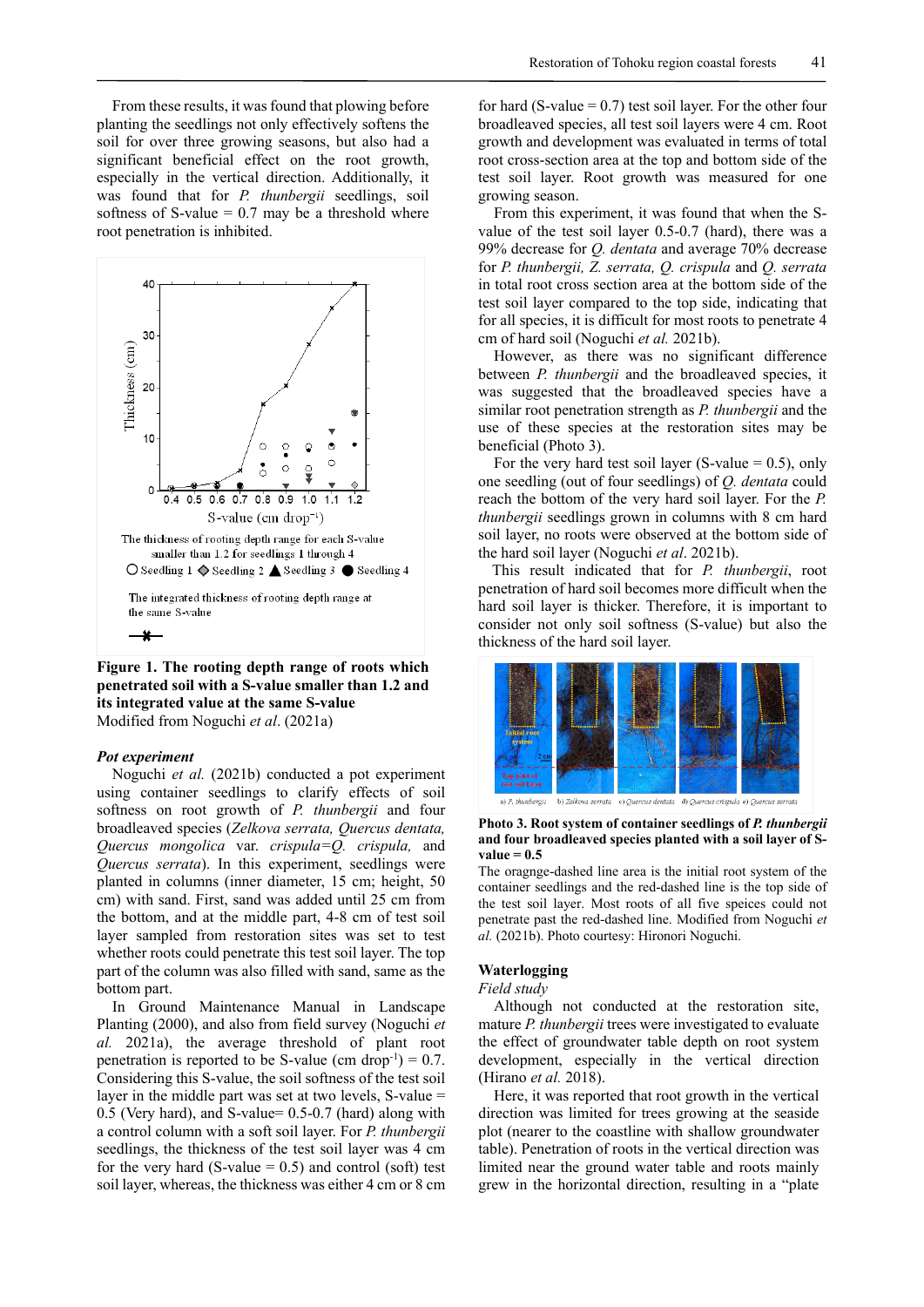From these results, it was found that plowing before planting the seedlings not only effectively softens the soil for over three growing seasons, but also had a significant beneficial effect on the root growth, especially in the vertical direction. Additionally, it was found that for *P. thunbergii* seedlings, soil softness of S-value  $= 0.7$  may be a threshold where root penetration is inhibited.



**Figure 1. The rooting depth range of roots which penetrated soil with a S-value smaller than 1.2 and its integrated value at the same S-value**  Modified from Noguchi *et al*. (2021a)

#### *Pot experiment*

Noguchi *et al.* (2021b) conducted a pot experiment using container seedlings to clarify effects of soil softness on root growth of *P. thunbergii* and four broadleaved species (*Zelkova serrata, Quercus dentata, Quercus mongolica* var. *crispula=Q. crispula,* and *Quercus serrata*). In this experiment, seedlings were planted in columns (inner diameter, 15 cm; height, 50 cm) with sand. First, sand was added until 25 cm from the bottom, and at the middle part, 4-8 cm of test soil layer sampled from restoration sites was set to test whether roots could penetrate this test soil layer. The top part of the column was also filled with sand, same as the bottom part.

In Ground Maintenance Manual in Landscape Planting (2000), and also from field survey (Noguchi *et al.* 2021a), the average threshold of plant root penetration is reported to be S-value (cm drop<sup>-1</sup>) = 0.7. Considering this S-value, the soil softness of the test soil layer in the middle part was set at two levels, S-value = 0.5 (Very hard), and S-value= 0.5-0.7 (hard) along with a control column with a soft soil layer. For *P. thunbergii* seedlings, the thickness of the test soil layer was 4 cm for the very hard (S-value  $= 0.5$ ) and control (soft) test soil layer, whereas, the thickness was either 4 cm or 8 cm

for hard (S-value  $= 0.7$ ) test soil layer. For the other four broadleaved species, all test soil layers were 4 cm. Root growth and development was evaluated in terms of total root cross-section area at the top and bottom side of the test soil layer. Root growth was measured for one growing season.

From this experiment, it was found that when the Svalue of the test soil layer 0.5-0.7 (hard), there was a 99% decrease for *Q. dentata* and average 70% decrease for *P. thunbergii, Z. serrata, Q. crispula* and *Q. serrata*  in total root cross section area at the bottom side of the test soil layer compared to the top side, indicating that for all species, it is difficult for most roots to penetrate 4 cm of hard soil (Noguchi *et al.* 2021b).

However, as there was no significant difference between *P. thunbergii* and the broadleaved species, it was suggested that the broadleaved species have a similar root penetration strength as *P. thunbergii* and the use of these species at the restoration sites may be beneficial (Photo 3).

For the very hard test soil layer (S-value  $= 0.5$ ), only one seedling (out of four seedlings) of *Q. dentata* could reach the bottom of the very hard soil layer. For the *P. thunbergii* seedlings grown in columns with 8 cm hard soil layer, no roots were observed at the bottom side of the hard soil layer (Noguchi *et al*. 2021b).

This result indicated that for *P. thunbergii*, root penetration of hard soil becomes more difficult when the hard soil layer is thicker. Therefore, it is important to consider not only soil softness (S-value) but also the thickness of the hard soil layer.



b) Zelkova serrata c) Quercus dentata d) Quercus crispula e) Q

#### **Photo 3. Root system of container seedlings of** *P. thunbergii* **and four broadleaved species planted with a soil layer of S** $value = 0.5$

The oragnge-dashed line area is the initial root system of the container seedlings and the red-dashed line is the top side of the test soil layer. Most roots of all five speices could not penetrate past the red-dashed line. Modified from Noguchi *et al.* (2021b). Photo courtesy: Hironori Noguchi.

## **Waterlogging**

## *Field study*

Although not conducted at the restoration site, mature *P. thunbergii* trees were investigated to evaluate the effect of groundwater table depth on root system development, especially in the vertical direction (Hirano *et al.* 2018).

Here, it was reported that root growth in the vertical direction was limited for trees growing at the seaside plot (nearer to the coastline with shallow groundwater table). Penetration of roots in the vertical direction was limited near the ground water table and roots mainly grew in the horizontal direction, resulting in a "plate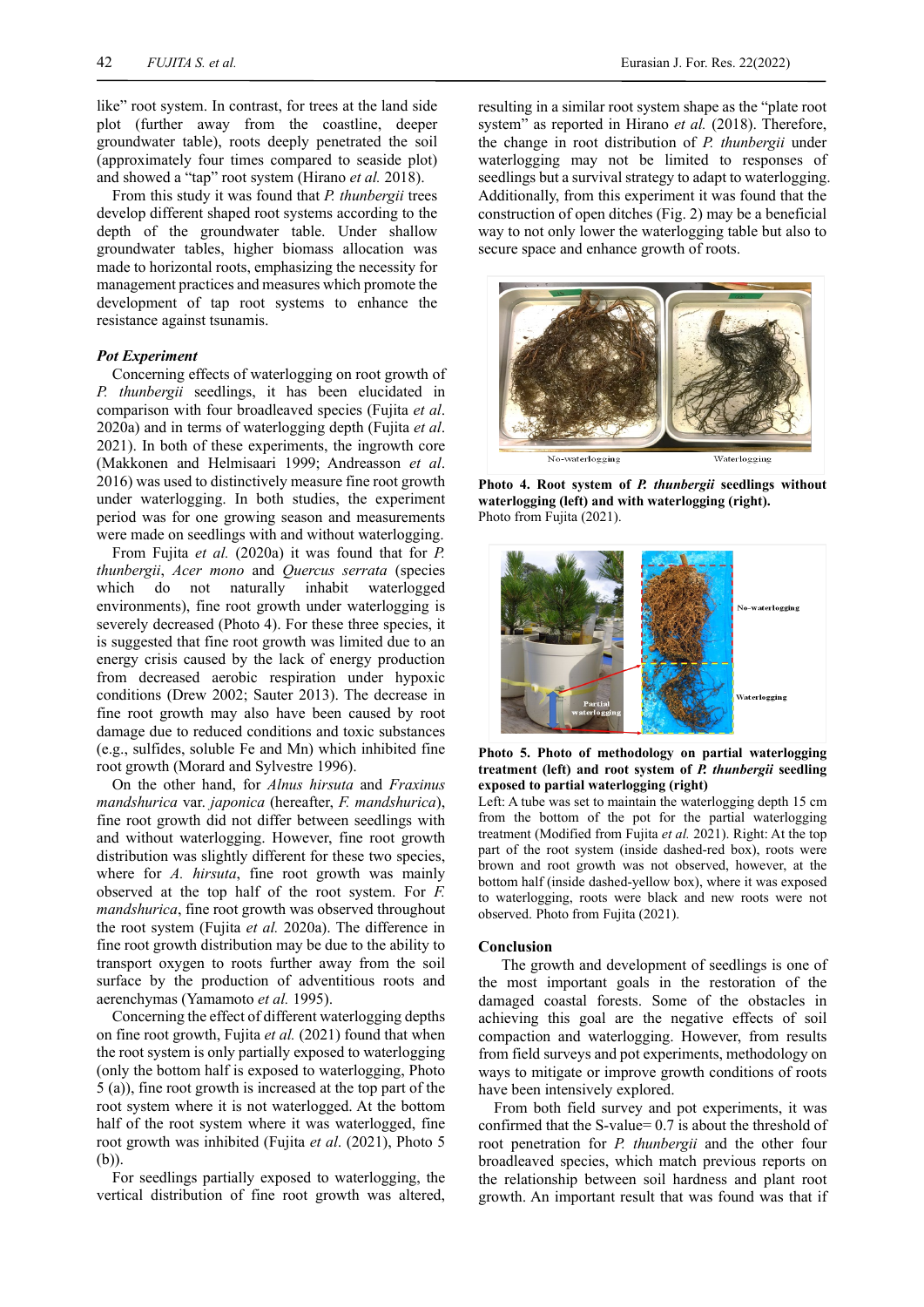like" root system. In contrast, for trees at the land side plot (further away from the coastline, deeper groundwater table), roots deeply penetrated the soil (approximately four times compared to seaside plot) and showed a "tap" root system (Hirano *et al.* 2018).

From this study it was found that *P. thunbergii* trees develop different shaped root systems according to the depth of the groundwater table. Under shallow groundwater tables, higher biomass allocation was made to horizontal roots, emphasizing the necessity for management practices and measures which promote the development of tap root systems to enhance the resistance against tsunamis.

#### *Pot Experiment*

Concerning effects of waterlogging on root growth of *P. thunbergii* seedlings, it has been elucidated in comparison with four broadleaved species (Fujita *et al*. 2020a) and in terms of waterlogging depth (Fujita *et al*. 2021). In both of these experiments, the ingrowth core (Makkonen and Helmisaari 1999; Andreasson *et al*. 2016) was used to distinctively measure fine root growth under waterlogging. In both studies, the experiment period was for one growing season and measurements were made on seedlings with and without waterlogging.

From Fujita *et al.* (2020a) it was found that for *P. thunbergii*, *Acer mono* and *Quercus serrata* (species which do not naturally inhabit waterlogged environments), fine root growth under waterlogging is severely decreased (Photo 4). For these three species, it is suggested that fine root growth was limited due to an energy crisis caused by the lack of energy production from decreased aerobic respiration under hypoxic conditions (Drew 2002; Sauter 2013). The decrease in fine root growth may also have been caused by root damage due to reduced conditions and toxic substances (e.g., sulfides, soluble Fe and Mn) which inhibited fine root growth (Morard and Sylvestre 1996).

On the other hand, for *Alnus hirsuta* and *Fraxinus mandshurica* var. *japonica* (hereafter, *F. mandshurica*), fine root growth did not differ between seedlings with and without waterlogging. However, fine root growth distribution was slightly different for these two species, where for *A. hirsuta*, fine root growth was mainly observed at the top half of the root system. For *F. mandshurica*, fine root growth was observed throughout the root system (Fujita *et al.* 2020a). The difference in fine root growth distribution may be due to the ability to transport oxygen to roots further away from the soil surface by the production of adventitious roots and aerenchymas (Yamamoto *et al.* 1995).

Concerning the effect of different waterlogging depths on fine root growth, Fujita *et al.* (2021) found that when the root system is only partially exposed to waterlogging (only the bottom half is exposed to waterlogging, Photo 5 (a)), fine root growth is increased at the top part of the root system where it is not waterlogged. At the bottom half of the root system where it was waterlogged, fine root growth was inhibited (Fujita *et al*. (2021), Photo 5 (b)).

For seedlings partially exposed to waterlogging, the vertical distribution of fine root growth was altered, resulting in a similar root system shape as the "plate root system" as reported in Hirano *et al.* (2018). Therefore, the change in root distribution of *P. thunbergii* under waterlogging may not be limited to responses of seedlings but a survival strategy to adapt to waterlogging. Additionally, from this experiment it was found that the construction of open ditches (Fig. 2) may be a beneficial way to not only lower the waterlogging table but also to secure space and enhance growth of roots.



**Photo 4. Root system of** *P. thunbergii* **seedlings without waterlogging (left) and with waterlogging (right).**  Photo from Fujita (2021).



**Photo 5. Photo of methodology on partial waterlogging treatment (left) and root system of** *P. thunbergii* **seedling exposed to partial waterlogging (right)**

Left: A tube was set to maintain the waterlogging depth 15 cm from the bottom of the pot for the partial waterlogging treatment (Modified from Fujita *et al.* 2021). Right: At the top part of the root system (inside dashed-red box), roots were brown and root growth was not observed, however, at the bottom half (inside dashed-yellow box), where it was exposed to waterlogging, roots were black and new roots were not observed. Photo from Fujita (2021).

#### **Conclusion**

The growth and development of seedlings is one of the most important goals in the restoration of the damaged coastal forests. Some of the obstacles in achieving this goal are the negative effects of soil compaction and waterlogging. However, from results from field surveys and pot experiments, methodology on ways to mitigate or improve growth conditions of roots have been intensively explored.

From both field survey and pot experiments, it was confirmed that the S-value= 0.7 is about the threshold of root penetration for *P. thunbergii* and the other four broadleaved species, which match previous reports on the relationship between soil hardness and plant root growth. An important result that was found was that if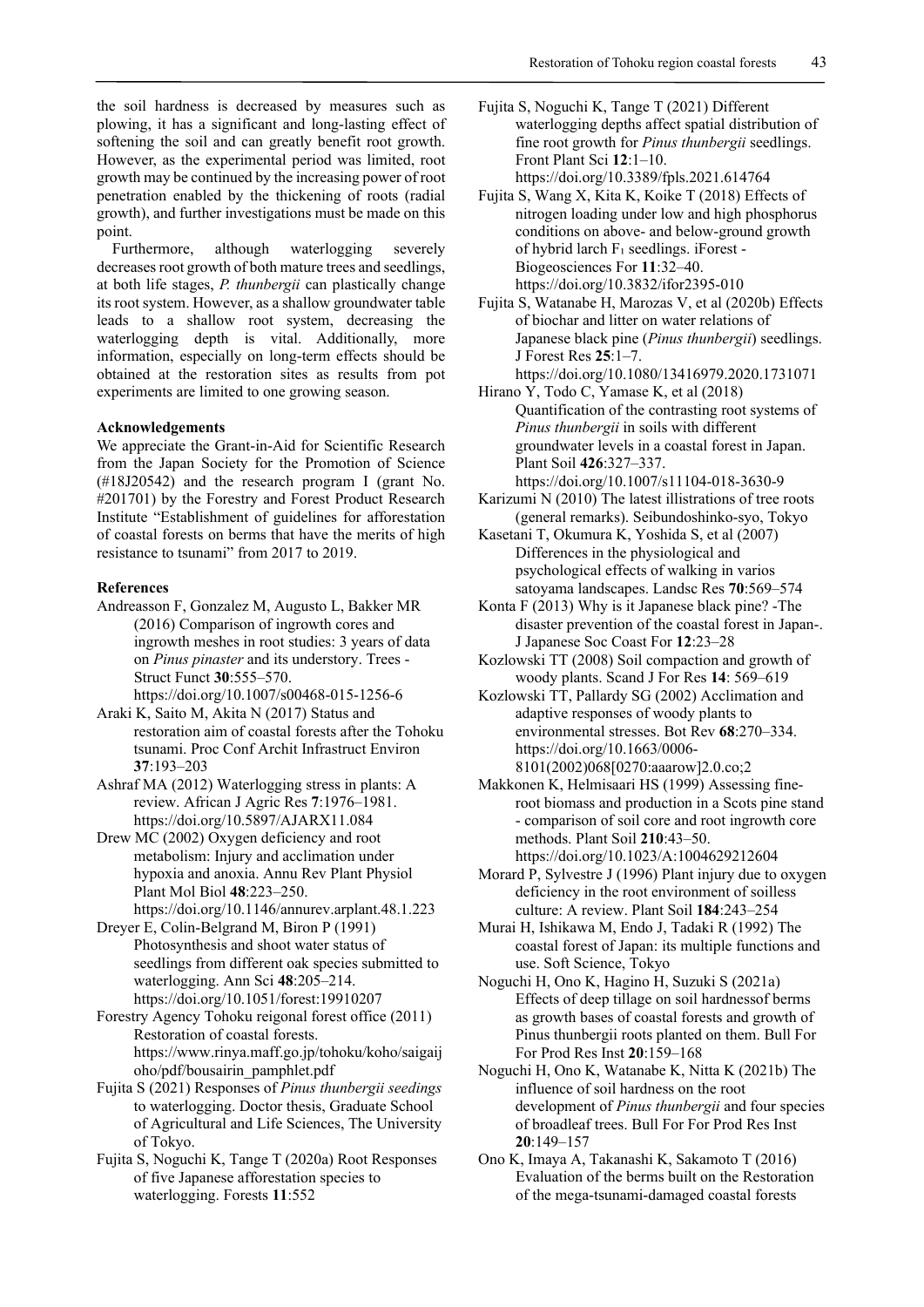the soil hardness is decreased by measures such as plowing, it has a significant and long-lasting effect of softening the soil and can greatly benefit root growth. However, as the experimental period was limited, root growth may be continued by the increasing power of root penetration enabled by the thickening of roots (radial growth), and further investigations must be made on this point.

Furthermore, although waterlogging severely decreases root growth of both mature trees and seedlings, at both life stages, *P. thunbergii* can plastically change its root system. However, as a shallow groundwater table leads to a shallow root system, decreasing the waterlogging depth is vital. Additionally, more information, especially on long-term effects should be obtained at the restoration sites as results from pot experiments are limited to one growing season.

#### **Acknowledgements**

We appreciate the Grant-in-Aid for Scientific Research from the Japan Society for the Promotion of Science (#18J20542) and the research program I (grant No. #201701) by the Forestry and Forest Product Research Institute "Establishment of guidelines for afforestation of coastal forests on berms that have the merits of high resistance to tsunami" from 2017 to 2019.

## **References**

- Andreasson F, Gonzalez M, Augusto L, Bakker MR (2016) Comparison of ingrowth cores and ingrowth meshes in root studies: 3 years of data on *Pinus pinaster* and its understory. Trees - Struct Funct **30**:555–570. https://doi.org/10.1007/s00468-015-1256-6
- Araki K, Saito M, Akita N (2017) Status and restoration aim of coastal forests after the Tohoku tsunami. Proc Conf Archit Infrastruct Environ **37**:193–203
- Ashraf MA (2012) Waterlogging stress in plants: A review. African J Agric Res **7**:1976–1981. https://doi.org/10.5897/AJARX11.084
- Drew MC (2002) Oxygen deficiency and root metabolism: Injury and acclimation under hypoxia and anoxia. Annu Rev Plant Physiol Plant Mol Biol **48**:223–250.
- https://doi.org/10.1146/annurev.arplant.48.1.223 Dreyer E, Colin-Belgrand M, Biron P (1991) Photosynthesis and shoot water status of
- seedlings from different oak species submitted to waterlogging. Ann Sci **48**:205–214. https://doi.org/10.1051/forest:19910207
- Forestry Agency Tohoku reigonal forest office (2011) Restoration of coastal forests. https://www.rinya.maff.go.jp/tohoku/koho/saigaij oho/pdf/bousairin\_pamphlet.pdf
- Fujita S (2021) Responses of *Pinus thunbergii seedings* to waterlogging. Doctor thesis, Graduate School of Agricultural and Life Sciences, The University of Tokyo.
- Fujita S, Noguchi K, Tange T (2020a) Root Responses of five Japanese afforestation species to waterlogging. Forests **11**:552
- Fujita S, Noguchi K, Tange T (2021) Different waterlogging depths affect spatial distribution of fine root growth for *Pinus thunbergii* seedlings. Front Plant Sci **12**:1–10. https://doi.org/10.3389/fpls.2021.614764
- Fujita S, Wang X, Kita K, Koike T (2018) Effects of nitrogen loading under low and high phosphorus conditions on above- and below-ground growth of hybrid larch F₁ seedlings. iForest - Biogeosciences For **11**:32–40. https://doi.org/10.3832/ifor2395-010

Fujita S, Watanabe H, Marozas V, et al (2020b) Effects of biochar and litter on water relations of Japanese black pine (*Pinus thunbergii*) seedlings. J Forest Res **25**:1–7. https://doi.org/10.1080/13416979.2020.1731071

- Hirano Y, Todo C, Yamase K, et al (2018) Quantification of the contrasting root systems of *Pinus thunbergii* in soils with different groundwater levels in a coastal forest in Japan. Plant Soil **426**:327–337. https://doi.org/10.1007/s11104-018-3630-9
- Karizumi N (2010) The latest illistrations of tree roots (general remarks). Seibundoshinko-syo, Tokyo
- Kasetani T, Okumura K, Yoshida S, et al (2007) Differences in the physiological and psychological effects of walking in varios satoyama landscapes. Landsc Res **70**:569–574
- Konta F (2013) Why is it Japanese black pine? -The disaster prevention of the coastal forest in Japan-. J Japanese Soc Coast For **12**:23–28
- Kozlowski TT (2008) Soil compaction and growth of woody plants. Scand J For Res **14**: 569–619
- Kozlowski TT, Pallardy SG (2002) Acclimation and adaptive responses of woody plants to environmental stresses. Bot Rev **68**:270–334. https://doi.org/10.1663/0006- 8101(2002)068[0270:aaarow]2.0.co;2
- Makkonen K, Helmisaari HS (1999) Assessing fineroot biomass and production in a Scots pine stand - comparison of soil core and root ingrowth core methods. Plant Soil **210**:43–50. https://doi.org/10.1023/A:1004629212604
- Morard P, Sylvestre J (1996) Plant injury due to oxygen deficiency in the root environment of soilless culture: A review. Plant Soil **184**:243–254
- Murai H, Ishikawa M, Endo J, Tadaki R (1992) The coastal forest of Japan: its multiple functions and use. Soft Science, Tokyo
- Noguchi H, Ono K, Hagino H, Suzuki S (2021a) Effects of deep tillage on soil hardnessof berms as growth bases of coastal forests and growth of Pinus thunbergii roots planted on them. Bull For For Prod Res Inst **20**:159–168
- Noguchi H, Ono K, Watanabe K, Nitta K (2021b) The influence of soil hardness on the root development of *Pinus thunbergii* and four species of broadleaf trees. Bull For For Prod Res Inst **20**:149–157
- Ono K, Imaya A, Takanashi K, Sakamoto T (2016) Evaluation of the berms built on the Restoration of the mega-tsunami-damaged coastal forests